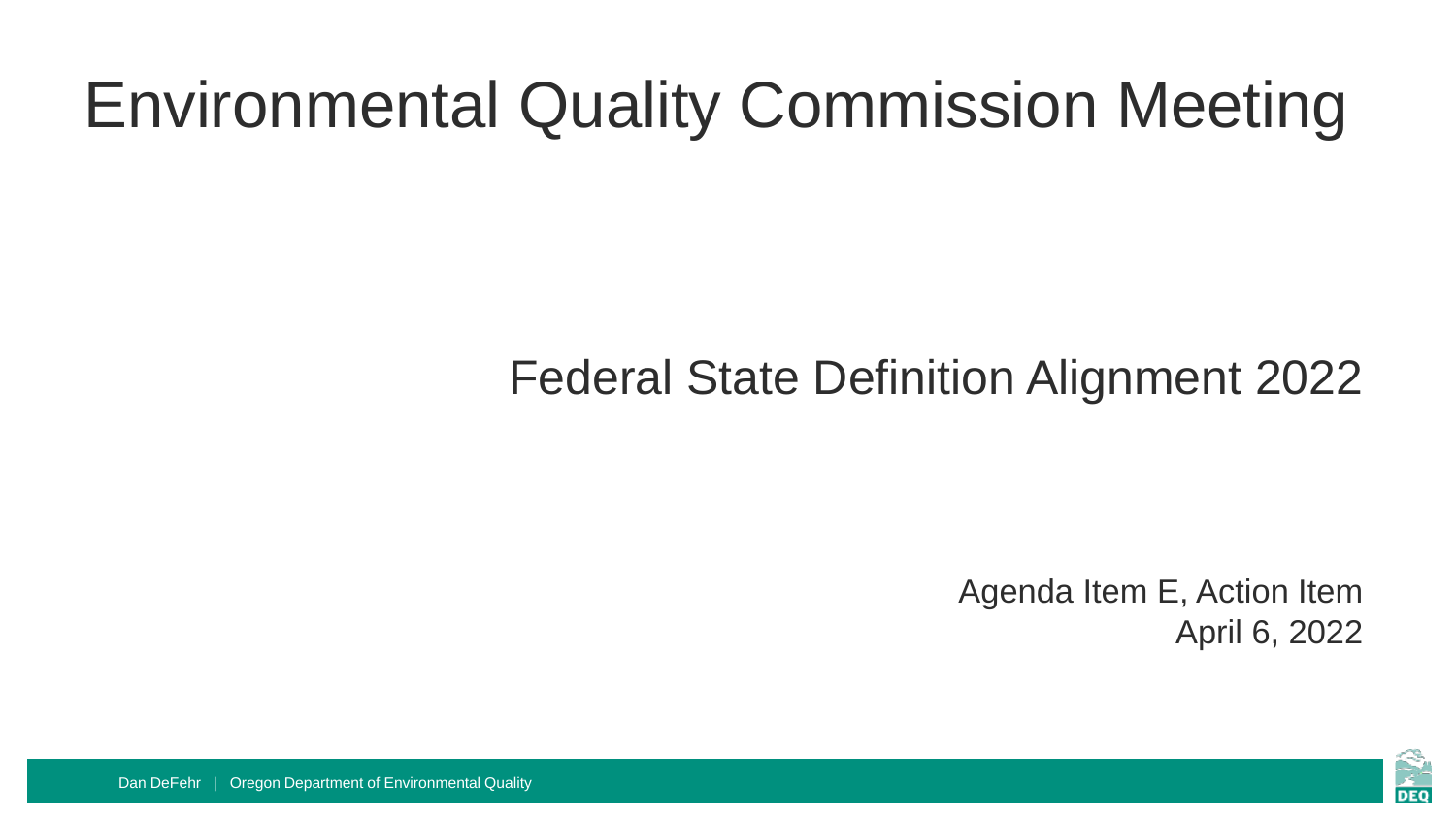## Environmental Quality Commission Meeting

#### Federal State Definition Alignment 2022

Agenda Item E, Action Item April 6, 2022



Dan DeFehr | Oregon Department of Environmental Quality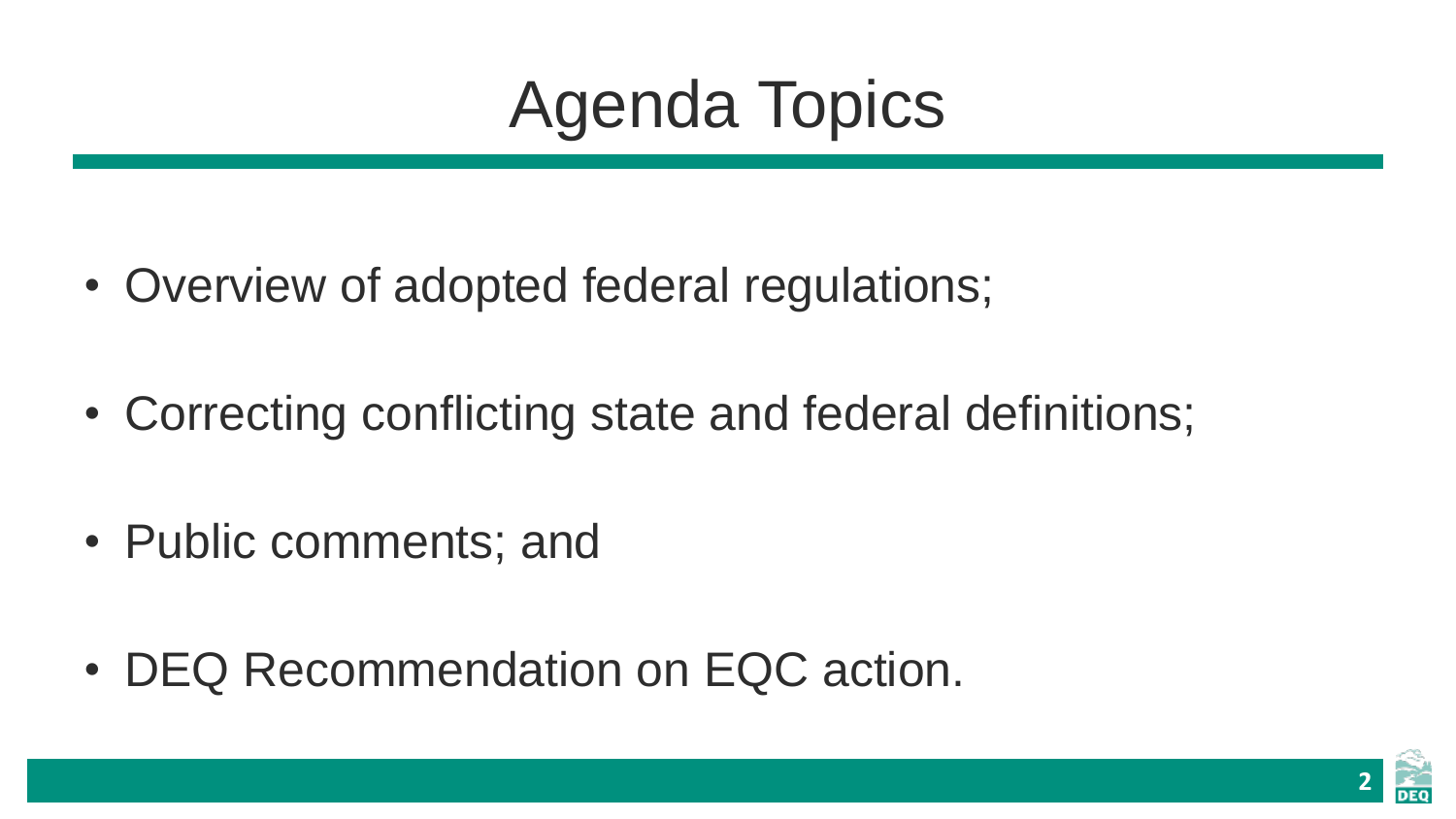## Agenda Topics

- Overview of adopted federal regulations;
- Correcting conflicting state and federal definitions;
- Public comments; and
- DEQ Recommendation on EQC action.

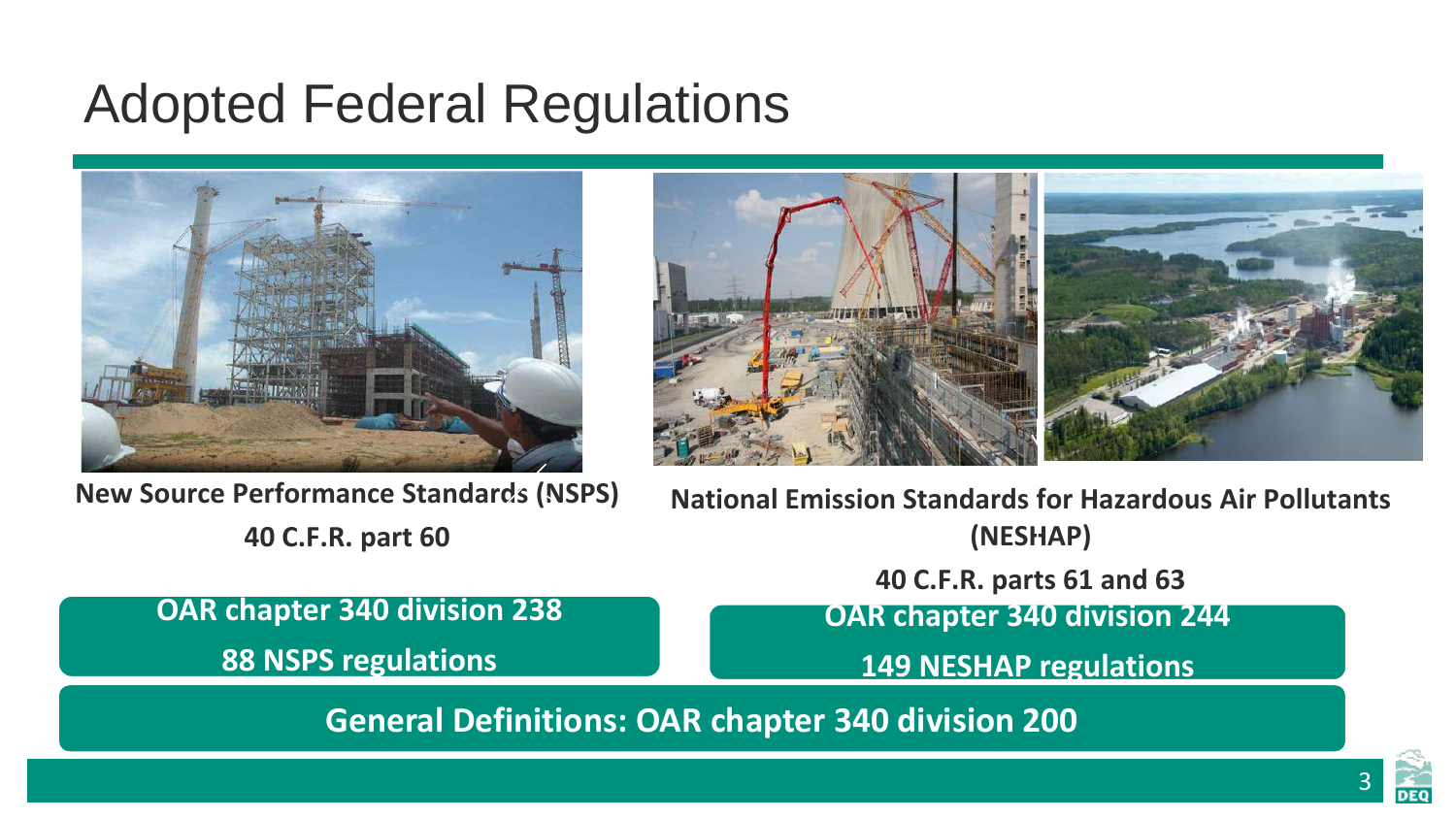#### Adopted Federal Regulations





**New Source Performance Standards (NSPS) 40 C.F.R. part 60**

**OAR chapter 340 division 238** 

**88 NSPS regulations**

**National Emission Standards for Hazardous Air Pollutants (NESHAP)**

**40 C.F.R. parts 61 and 63**

**OAR chapter 340 division 244**

**149 NESHAP regulations**

**General Definitions: OAR chapter 340 division 200**

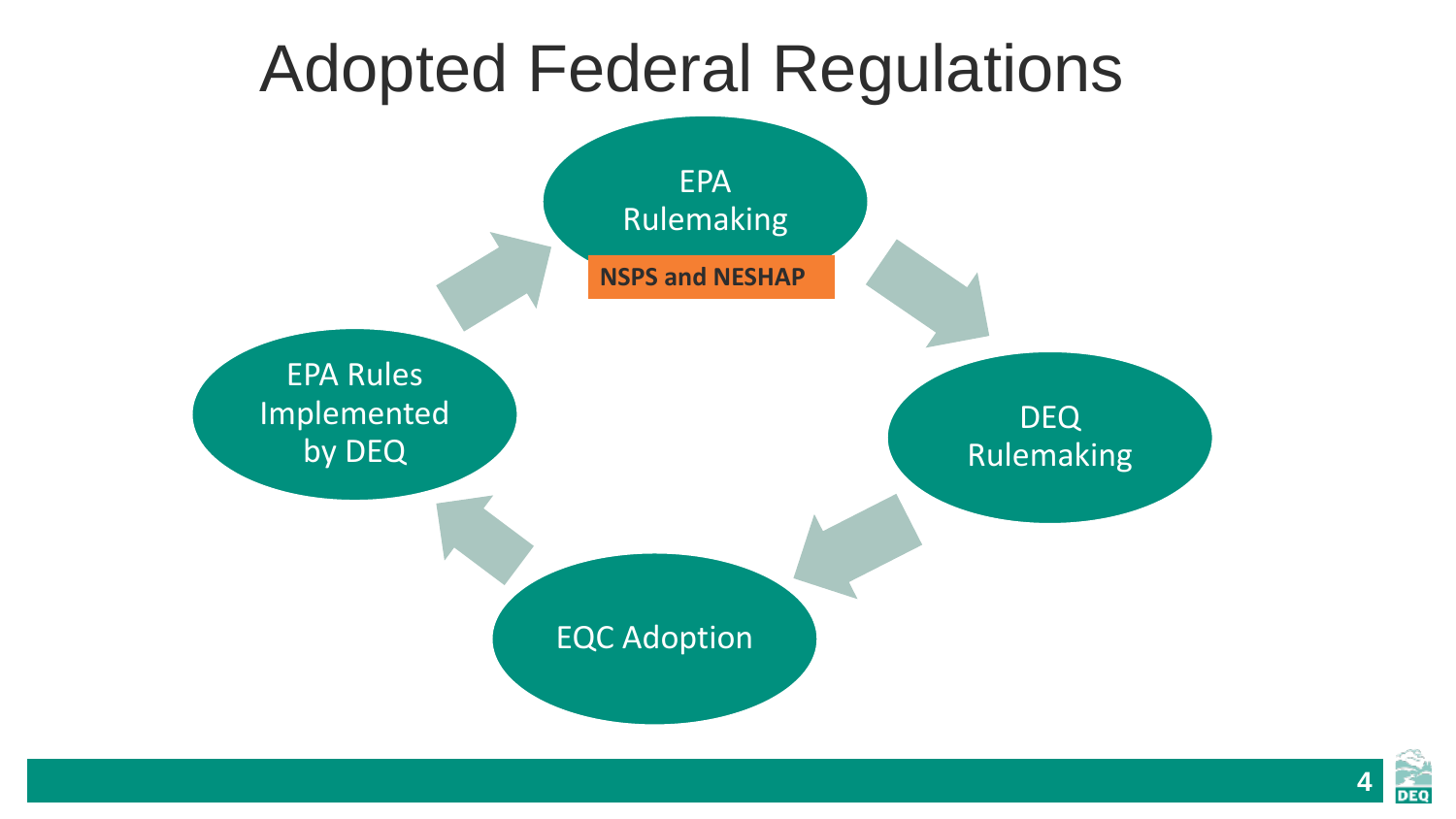### Adopted Federal Regulations



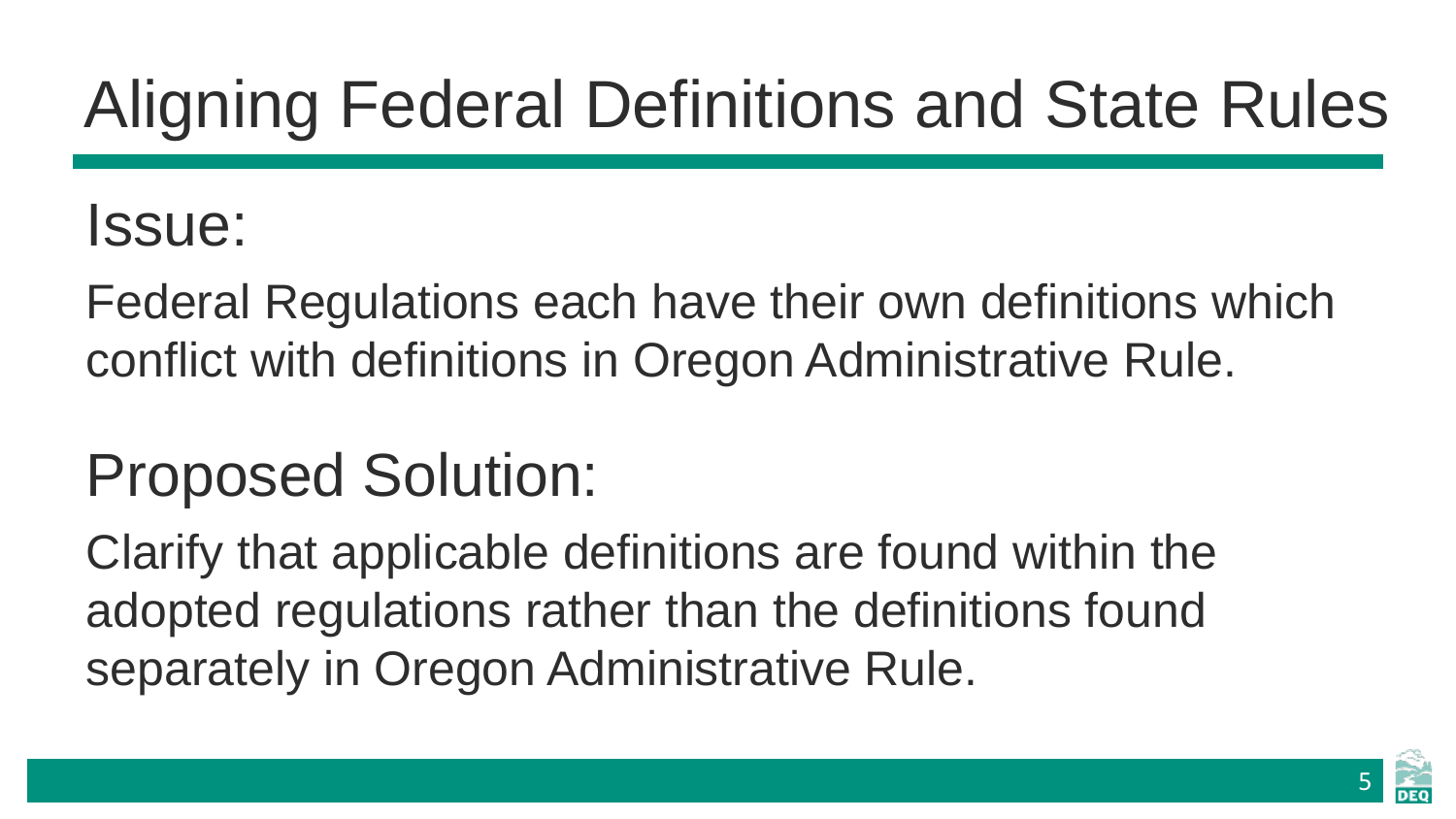# Aligning Federal Definitions and State Rules

#### Issue:

Federal Regulations each have their own definitions which conflict with definitions in Oregon Administrative Rule.

### Proposed Solution:

Clarify that applicable definitions are found within the adopted regulations rather than the definitions found separately in Oregon Administrative Rule.

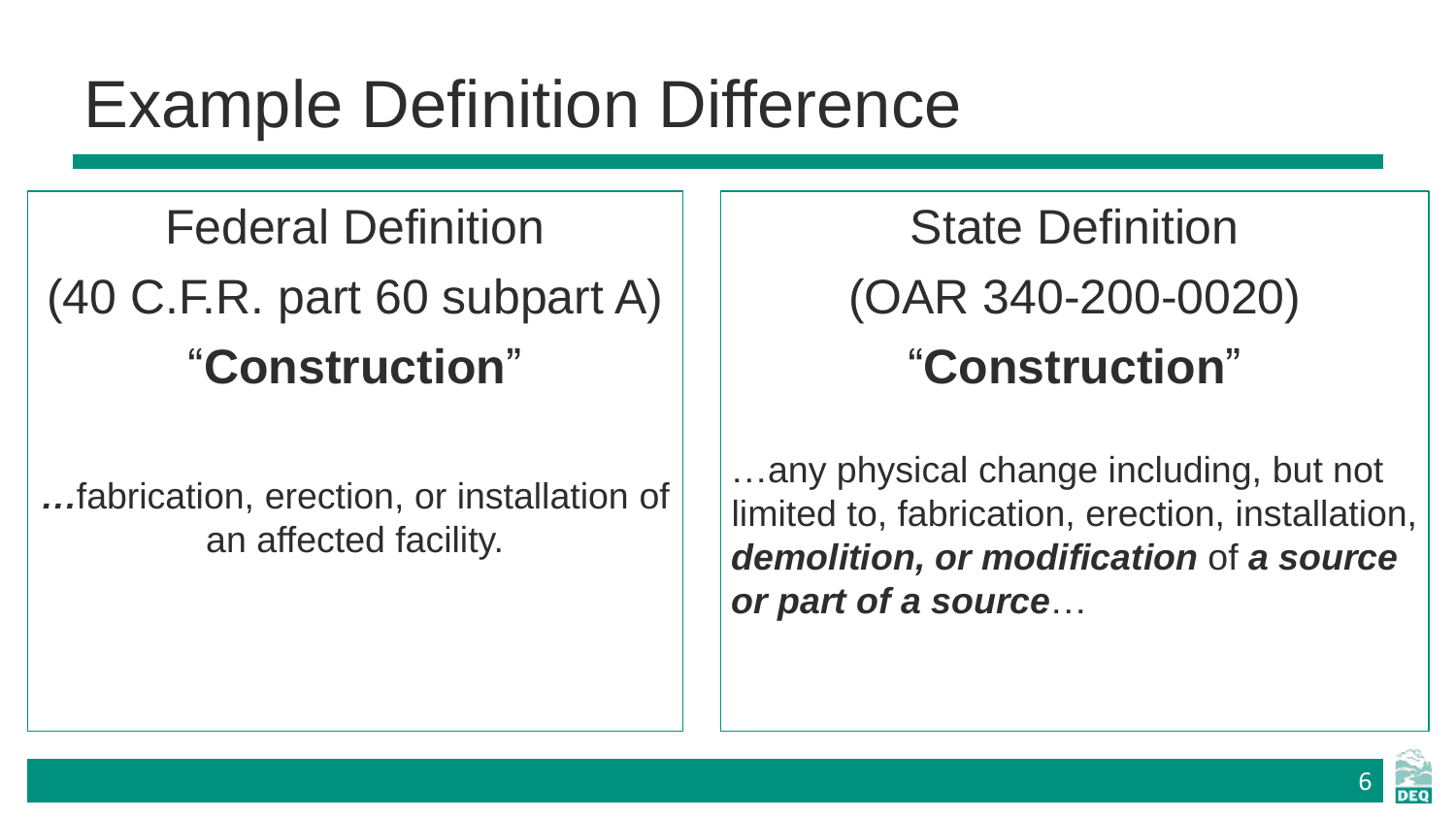## Example Definition Difference

### Federal Definition (40 C.F.R. part 60 subpart A) "**Construction**"

*…*fabrication, erection, or installation of an affected facility.

State Definition (OAR 340-200-0020) "**Construction**"

…any physical change including, but not limited to, fabrication, erection, installation, *demolition, or modification* of *a source or part of a source*…

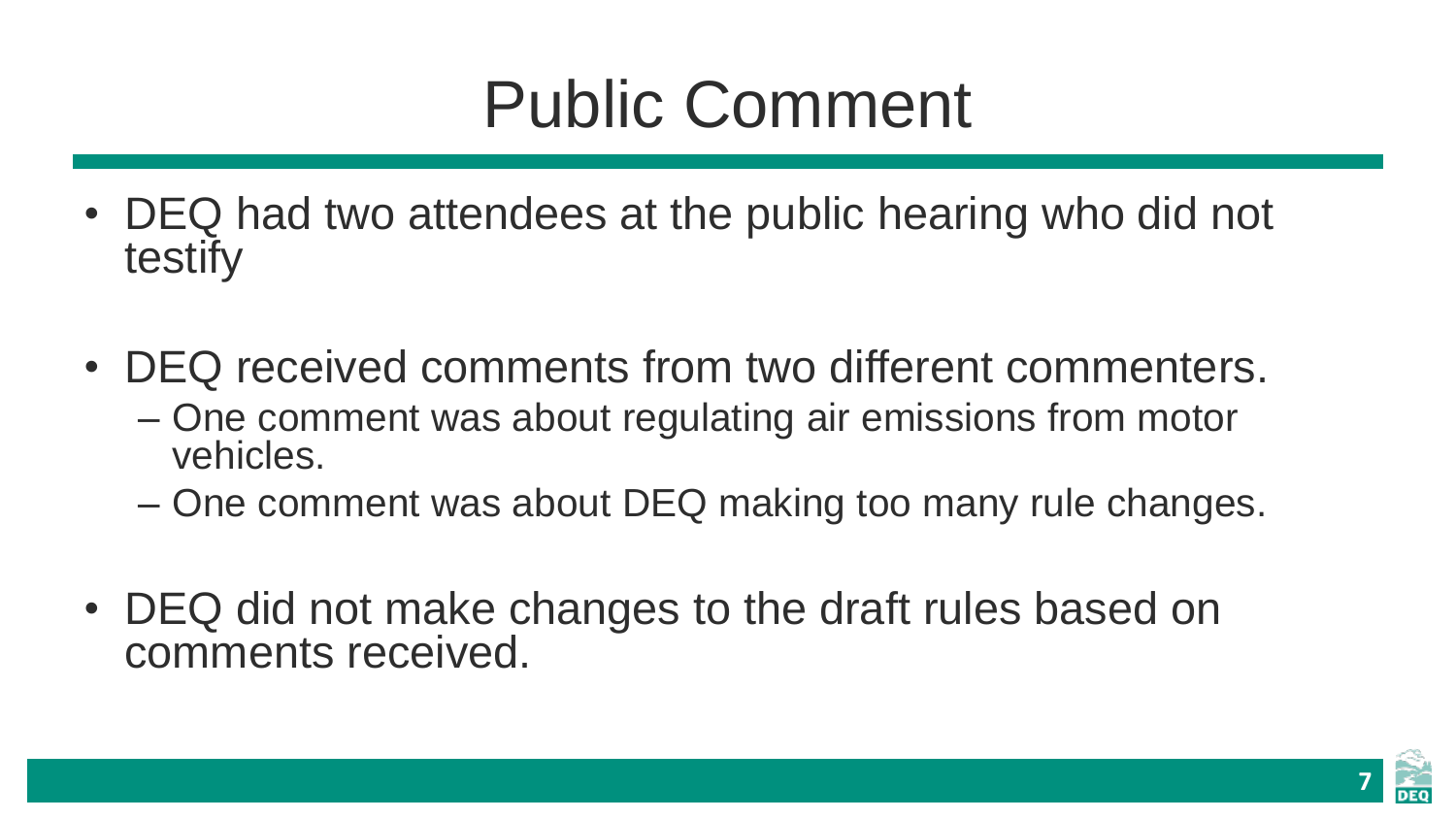## Public Comment

- DEQ had two attendees at the public hearing who did not testify
- DEQ received comments from two different commenters.
	- One comment was about regulating air emissions from motor vehicles.
	- One comment was about DEQ making too many rule changes.
- DEQ did not make changes to the draft rules based on comments received.